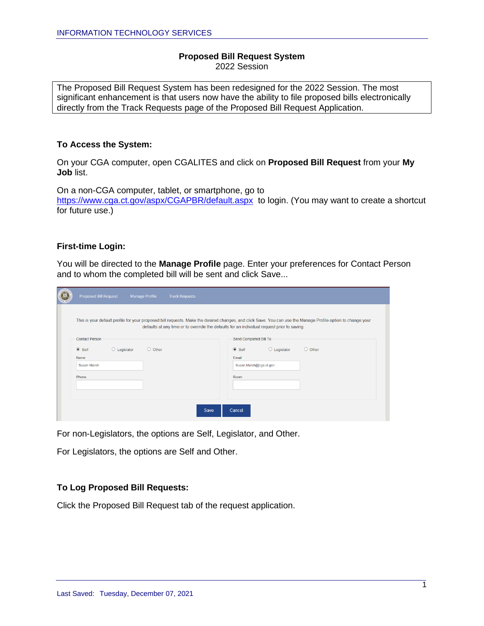#### **Proposed Bill Request System** 2022 Session

The Proposed Bill Request System has been redesigned for the 2022 Session. The most significant enhancement is that users now have the ability to file proposed bills electronically directly from the Track Requests page of the Proposed Bill Request Application.

#### **To Access the System:**

On your CGA computer, open CGALITES and click on **Proposed Bill Request** from your **My Job** list.

On a non-CGA computer, tablet, or smartphone, go to <https://www.cga.ct.gov/aspx/CGAPBR/default.aspx> to login. (You may want to create a shortcut for future use.)

#### **First-time Login:**

You will be directed to the **Manage Profile** page. Enter your preferences for Contact Person and to whom the completed bill will be sent and click Save...

| Proposed Bill Request                                                                                                                                                                                                                                       | <b>Manage Profile</b> | <b>Track Requests</b> |        |                        |                       |               |
|-------------------------------------------------------------------------------------------------------------------------------------------------------------------------------------------------------------------------------------------------------------|-----------------------|-----------------------|--------|------------------------|-----------------------|---------------|
| This is your default profile for your proposed bill requests. Make the desired changes, and click Save. You can use the Manage Profile option to change your<br>defaults at any time or to override the defaults for an individual request prior to saving. |                       |                       |        |                        |                       |               |
| <b>Contact Person</b>                                                                                                                                                                                                                                       |                       |                       |        | Send Completed Bill To |                       |               |
| $\odot$ Self<br>$\circ$ Legislator<br>Name                                                                                                                                                                                                                  | $\circ$ Other         |                       | Email  | $\odot$ Self           | $\bigcirc$ Legislator | $\circ$ Other |
| Susan Marsh                                                                                                                                                                                                                                                 |                       |                       |        | Susan.Marsh@cga.ct.gov |                       |               |
| Phone                                                                                                                                                                                                                                                       |                       |                       |        | Room                   |                       |               |
|                                                                                                                                                                                                                                                             |                       |                       |        |                        |                       |               |
|                                                                                                                                                                                                                                                             |                       | Save                  | Cancel |                        |                       |               |

For non-Legislators, the options are Self, Legislator, and Other.

For Legislators, the options are Self and Other.

### **To Log Proposed Bill Requests:**

Click the Proposed Bill Request tab of the request application.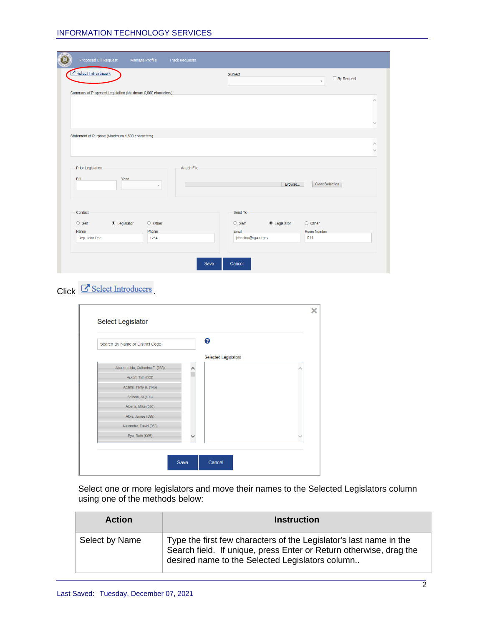| Proposed Bill Request    |                                                            | <b>Manage Profile</b> | <b>Track Requests</b> |                              |                    |                                   |  |
|--------------------------|------------------------------------------------------------|-----------------------|-----------------------|------------------------------|--------------------|-----------------------------------|--|
| Select Introducers       |                                                            |                       |                       | Subject                      |                    | $\Box$ By Request<br>$\downarrow$ |  |
|                          | Summary of Proposed Legislation (Maximum 6,000 characters) |                       |                       |                              |                    |                                   |  |
|                          | Statement of Purpose (Maximum 1,500 characters)            |                       |                       |                              |                    |                                   |  |
| <b>Prior Legislation</b> |                                                            |                       | <b>Attach File</b>    |                              |                    |                                   |  |
| Bill                     | Year                                                       | ۰                     |                       |                              | Browse             | <b>Clear Selection</b>            |  |
| Contact                  |                                                            |                       |                       | Send To                      |                    |                                   |  |
| $\circ$ Self             | ● Legislator                                               | $\circ$ Other         |                       | $\circ$ Self                 | $\odot$ Legislator | $\circ$ Other                     |  |
| Name<br>Rep. John Doe    |                                                            | Phone<br>1234         |                       | Email<br>john.doe@cga.ct.gov |                    | Room Number<br>014                |  |
|                          |                                                            |                       | Save                  | Cancel                       |                    |                                   |  |

# $Click$   $C$  Select Introducers

| Search By Name or District Code | ❸                           |   |
|---------------------------------|-----------------------------|---|
|                                 | <b>Selected Legislators</b> |   |
| Abercrombie, Catherine F. (083) | ↗                           |   |
| Ackert, Tim (008)               |                             |   |
| Adams, Terry B. (146)           |                             |   |
| Adinolfi, Al (103)              |                             |   |
| Alberts, Mike (050)             |                             |   |
| Albis, James (099)              |                             |   |
| Alexander, David (058)          |                             |   |
| Bye, Beth (S05)                 |                             | ◡ |

Select one or more legislators and move their names to the Selected Legislators column using one of the methods below:

| <b>Action</b>  | <b>Instruction</b>                                                                                                                                                                          |
|----------------|---------------------------------------------------------------------------------------------------------------------------------------------------------------------------------------------|
| Select by Name | Type the first few characters of the Legislator's last name in the<br>Search field. If unique, press Enter or Return otherwise, drag the<br>desired name to the Selected Legislators column |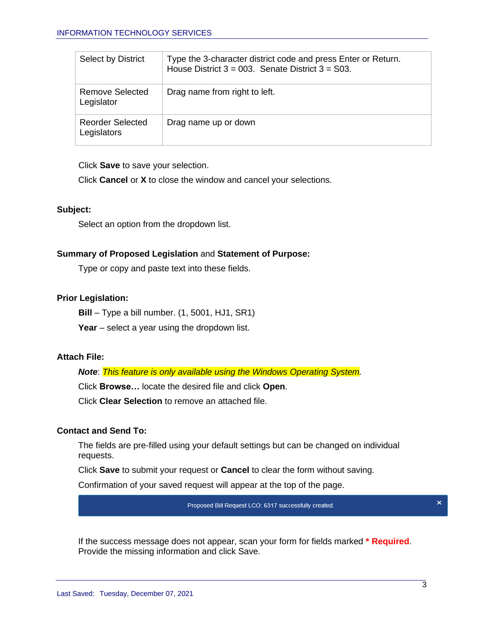| Select by District                     | Type the 3-character district code and press Enter or Return.<br>House District $3 = 003$ . Senate District $3 = 03$ . |
|----------------------------------------|------------------------------------------------------------------------------------------------------------------------|
| <b>Remove Selected</b><br>Legislator   | Drag name from right to left.                                                                                          |
| <b>Reorder Selected</b><br>Legislators | Drag name up or down                                                                                                   |

Click **Save** to save your selection.

Click **Cancel** or **X** to close the window and cancel your selections.

### **Subject:**

Select an option from the dropdown list.

# **Summary of Proposed Legislation** and **Statement of Purpose:**

Type or copy and paste text into these fields.

# **Prior Legislation:**

**Bill** – Type a bill number. (1, 5001, HJ1, SR1)

**Year** – select a year using the dropdown list.

# **Attach File:**

*Note*: *This feature is only available using the Windows Operating System.*

Click **Browse…** locate the desired file and click **Open**.

Click **Clear Selection** to remove an attached file.

# **Contact and Send To:**

The fields are pre-filled using your default settings but can be changed on individual requests.

Click **Save** to submit your request or **Cancel** to clear the form without saving.

Confirmation of your saved request will appear at the top of the page.

Proposed Bill Request LCO: 6317 successfully created.

×

If the success message does not appear, scan your form for fields marked **\* Required**. Provide the missing information and click Save.